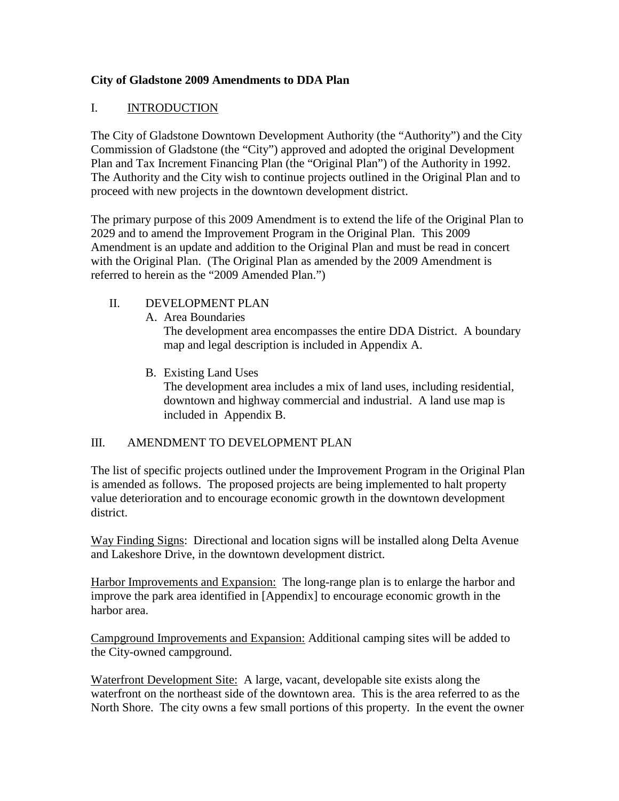# **City of Gladstone 2009 Amendments to DDA Plan**

# I. INTRODUCTION

The City of Gladstone Downtown Development Authority (the "Authority") and the City Commission of Gladstone (the "City") approved and adopted the original Development Plan and Tax Increment Financing Plan (the "Original Plan") of the Authority in 1992. The Authority and the City wish to continue projects outlined in the Original Plan and to proceed with new projects in the downtown development district.

The primary purpose of this 2009 Amendment is to extend the life of the Original Plan to 2029 and to amend the Improvement Program in the Original Plan. This 2009 Amendment is an update and addition to the Original Plan and must be read in concert with the Original Plan. (The Original Plan as amended by the 2009 Amendment is referred to herein as the "2009 Amended Plan.")

- II. DEVELOPMENT PLAN
	- A. Area Boundaries The development area encompasses the entire DDA District. A boundary map and legal description is included in Appendix A.
	- B. Existing Land Uses The development area includes a mix of land uses, including residential, downtown and highway commercial and industrial. A land use map is included in Appendix B.

## III. AMENDMENT TO DEVELOPMENT PLAN

The list of specific projects outlined under the Improvement Program in the Original Plan is amended as follows. The proposed projects are being implemented to halt property value deterioration and to encourage economic growth in the downtown development district.

Way Finding Signs: Directional and location signs will be installed along Delta Avenue and Lakeshore Drive, in the downtown development district.

Harbor Improvements and Expansion: The long-range plan is to enlarge the harbor and improve the park area identified in [Appendix] to encourage economic growth in the harbor area.

Campground Improvements and Expansion: Additional camping sites will be added to the City-owned campground.

Waterfront Development Site: A large, vacant, developable site exists along the waterfront on the northeast side of the downtown area. This is the area referred to as the North Shore. The city owns a few small portions of this property. In the event the owner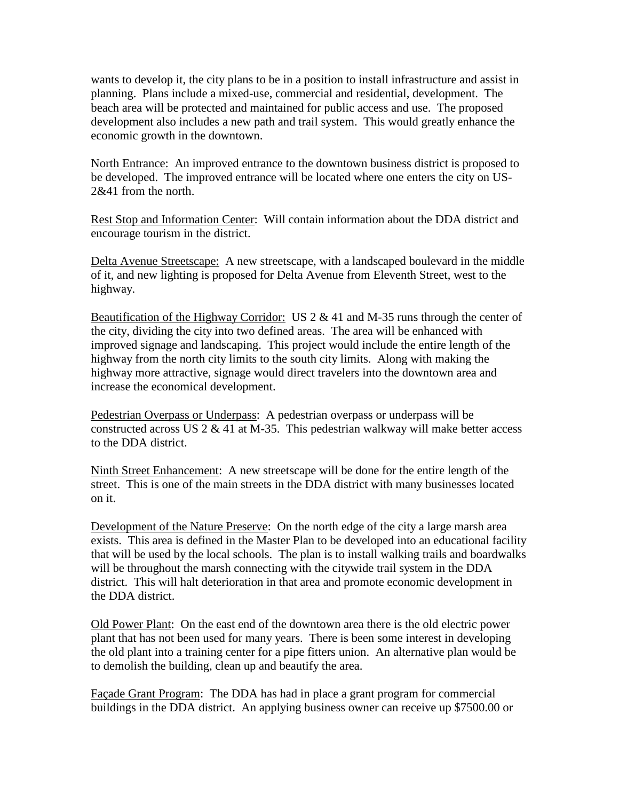wants to develop it, the city plans to be in a position to install infrastructure and assist in planning. Plans include a mixed-use, commercial and residential, development. The beach area will be protected and maintained for public access and use. The proposed development also includes a new path and trail system. This would greatly enhance the economic growth in the downtown.

North Entrance: An improved entrance to the downtown business district is proposed to be developed. The improved entrance will be located where one enters the city on US-2&41 from the north.

Rest Stop and Information Center: Will contain information about the DDA district and encourage tourism in the district.

Delta Avenue Streetscape: A new streetscape, with a landscaped boulevard in the middle of it, and new lighting is proposed for Delta Avenue from Eleventh Street, west to the highway.

Beautification of the Highway Corridor: US  $2 \& 41$  and M-35 runs through the center of the city, dividing the city into two defined areas. The area will be enhanced with improved signage and landscaping. This project would include the entire length of the highway from the north city limits to the south city limits. Along with making the highway more attractive, signage would direct travelers into the downtown area and increase the economical development.

Pedestrian Overpass or Underpass: A pedestrian overpass or underpass will be constructed across US  $2 \& 41$  at M-35. This pedestrian walkway will make better access to the DDA district.

Ninth Street Enhancement: A new streetscape will be done for the entire length of the street. This is one of the main streets in the DDA district with many businesses located on it.

Development of the Nature Preserve: On the north edge of the city a large marsh area exists. This area is defined in the Master Plan to be developed into an educational facility that will be used by the local schools. The plan is to install walking trails and boardwalks will be throughout the marsh connecting with the citywide trail system in the DDA district. This will halt deterioration in that area and promote economic development in the DDA district.

Old Power Plant: On the east end of the downtown area there is the old electric power plant that has not been used for many years. There is been some interest in developing the old plant into a training center for a pipe fitters union. An alternative plan would be to demolish the building, clean up and beautify the area.

Façade Grant Program: The DDA has had in place a grant program for commercial buildings in the DDA district. An applying business owner can receive up \$7500.00 or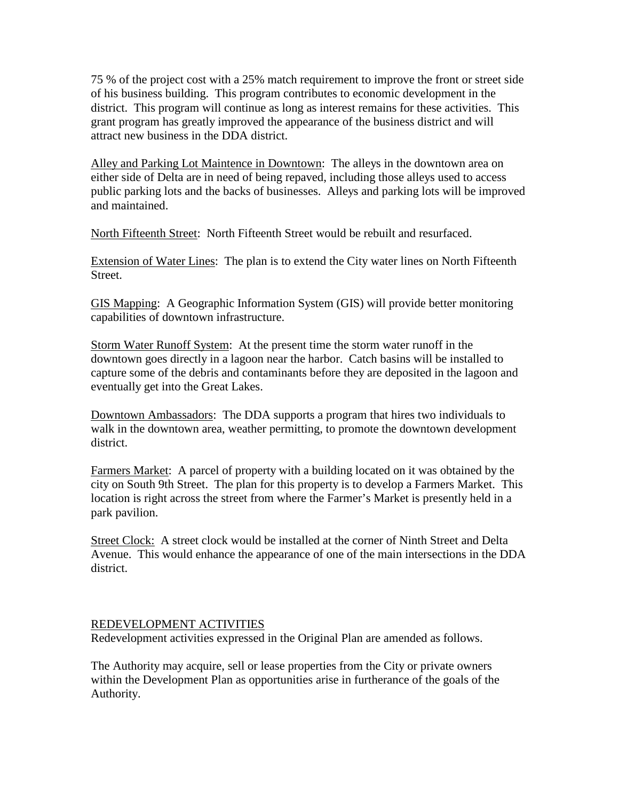75 % of the project cost with a 25% match requirement to improve the front or street side of his business building. This program contributes to economic development in the district. This program will continue as long as interest remains for these activities. This grant program has greatly improved the appearance of the business district and will attract new business in the DDA district.

Alley and Parking Lot Maintence in Downtown: The alleys in the downtown area on either side of Delta are in need of being repaved, including those alleys used to access public parking lots and the backs of businesses. Alleys and parking lots will be improved and maintained.

North Fifteenth Street: North Fifteenth Street would be rebuilt and resurfaced.

Extension of Water Lines: The plan is to extend the City water lines on North Fifteenth Street.

GIS Mapping: A Geographic Information System (GIS) will provide better monitoring capabilities of downtown infrastructure.

Storm Water Runoff System: At the present time the storm water runoff in the downtown goes directly in a lagoon near the harbor. Catch basins will be installed to capture some of the debris and contaminants before they are deposited in the lagoon and eventually get into the Great Lakes.

Downtown Ambassadors: The DDA supports a program that hires two individuals to walk in the downtown area, weather permitting, to promote the downtown development district.

Farmers Market: A parcel of property with a building located on it was obtained by the city on South 9th Street. The plan for this property is to develop a Farmers Market. This location is right across the street from where the Farmer's Market is presently held in a park pavilion.

Street Clock: A street clock would be installed at the corner of Ninth Street and Delta Avenue. This would enhance the appearance of one of the main intersections in the DDA district.

### REDEVELOPMENT ACTIVITIES

Redevelopment activities expressed in the Original Plan are amended as follows.

The Authority may acquire, sell or lease properties from the City or private owners within the Development Plan as opportunities arise in furtherance of the goals of the Authority.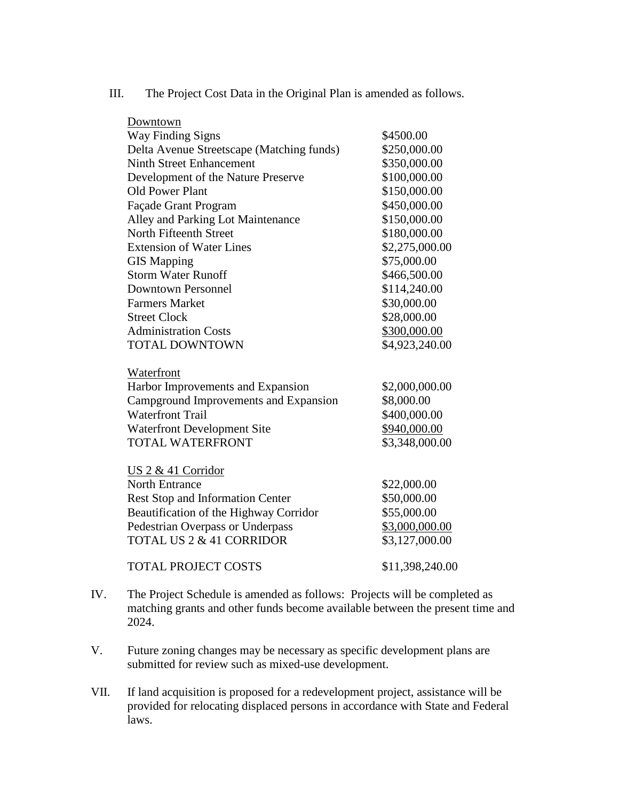| Downtown                                  |                 |
|-------------------------------------------|-----------------|
| <b>Way Finding Signs</b>                  | \$4500.00       |
| Delta Avenue Streetscape (Matching funds) | \$250,000.00    |
| <b>Ninth Street Enhancement</b>           | \$350,000.00    |
| Development of the Nature Preserve        | \$100,000.00    |
| Old Power Plant                           | \$150,000.00    |
| Façade Grant Program                      | \$450,000.00    |
| Alley and Parking Lot Maintenance         | \$150,000.00    |
| North Fifteenth Street                    | \$180,000.00    |
| <b>Extension of Water Lines</b>           | \$2,275,000.00  |
| <b>GIS Mapping</b>                        | \$75,000.00     |
| <b>Storm Water Runoff</b>                 | \$466,500.00    |
| <b>Downtown Personnel</b>                 | \$114,240.00    |
| <b>Farmers Market</b>                     | \$30,000.00     |
| <b>Street Clock</b>                       | \$28,000.00     |
| <b>Administration Costs</b>               | \$300,000.00    |
| <b>TOTAL DOWNTOWN</b>                     | \$4,923,240.00  |
| Waterfront                                |                 |
| Harbor Improvements and Expansion         | \$2,000,000.00  |
| Campground Improvements and Expansion     | \$8,000.00      |
| <b>Waterfront Trail</b>                   | \$400,000.00    |
| <b>Waterfront Development Site</b>        | \$940,000.00    |
| <b>TOTAL WATERFRONT</b>                   | \$3,348,000.00  |
| US $2 \& 41$ Corridor                     |                 |
| <b>North Entrance</b>                     | \$22,000.00     |
| <b>Rest Stop and Information Center</b>   | \$50,000.00     |
| Beautification of the Highway Corridor    | \$55,000.00     |
| <b>Pedestrian Overpass or Underpass</b>   | \$3,000,000.00  |
| <b>TOTAL US 2 &amp; 41 CORRIDOR</b>       | \$3,127,000.00  |
| <b>TOTAL PROJECT COSTS</b>                | \$11,398,240.00 |

III. The Project Cost Data in the Original Plan is amended as follows.

- IV. The Project Schedule is amended as follows: Projects will be completed as matching grants and other funds become available between the present time and 2024.
- V. Future zoning changes may be necessary as specific development plans are submitted for review such as mixed-use development.
- VII. If land acquisition is proposed for a redevelopment project, assistance will be provided for relocating displaced persons in accordance with State and Federal laws.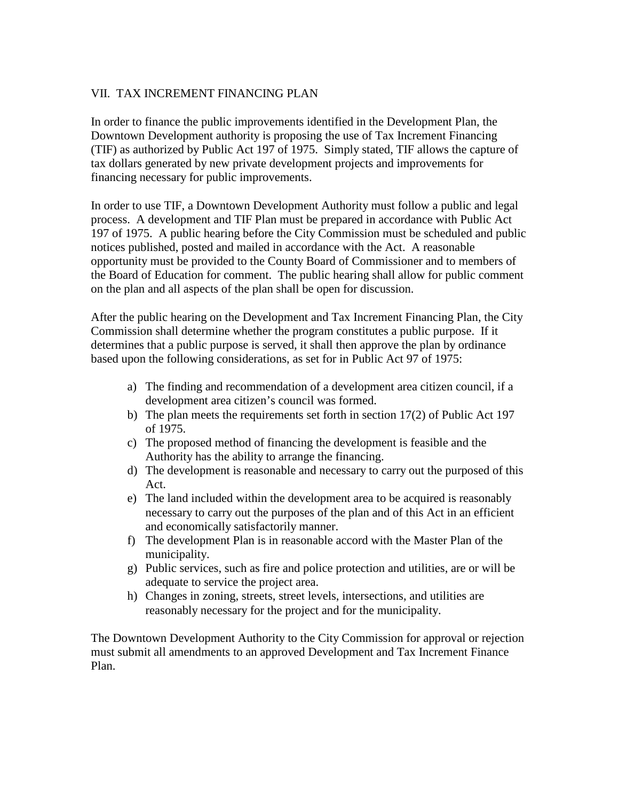## VII. TAX INCREMENT FINANCING PLAN

In order to finance the public improvements identified in the Development Plan, the Downtown Development authority is proposing the use of Tax Increment Financing (TIF) as authorized by Public Act 197 of 1975. Simply stated, TIF allows the capture of tax dollars generated by new private development projects and improvements for financing necessary for public improvements.

In order to use TIF, a Downtown Development Authority must follow a public and legal process. A development and TIF Plan must be prepared in accordance with Public Act 197 of 1975. A public hearing before the City Commission must be scheduled and public notices published, posted and mailed in accordance with the Act. A reasonable opportunity must be provided to the County Board of Commissioner and to members of the Board of Education for comment. The public hearing shall allow for public comment on the plan and all aspects of the plan shall be open for discussion.

After the public hearing on the Development and Tax Increment Financing Plan, the City Commission shall determine whether the program constitutes a public purpose. If it determines that a public purpose is served, it shall then approve the plan by ordinance based upon the following considerations, as set for in Public Act 97 of 1975:

- a) The finding and recommendation of a development area citizen council, if a development area citizen's council was formed.
- b) The plan meets the requirements set forth in section 17(2) of Public Act 197 of 1975.
- c) The proposed method of financing the development is feasible and the Authority has the ability to arrange the financing.
- d) The development is reasonable and necessary to carry out the purposed of this Act.
- e) The land included within the development area to be acquired is reasonably necessary to carry out the purposes of the plan and of this Act in an efficient and economically satisfactorily manner.
- f) The development Plan is in reasonable accord with the Master Plan of the municipality.
- g) Public services, such as fire and police protection and utilities, are or will be adequate to service the project area.
- h) Changes in zoning, streets, street levels, intersections, and utilities are reasonably necessary for the project and for the municipality.

The Downtown Development Authority to the City Commission for approval or rejection must submit all amendments to an approved Development and Tax Increment Finance Plan.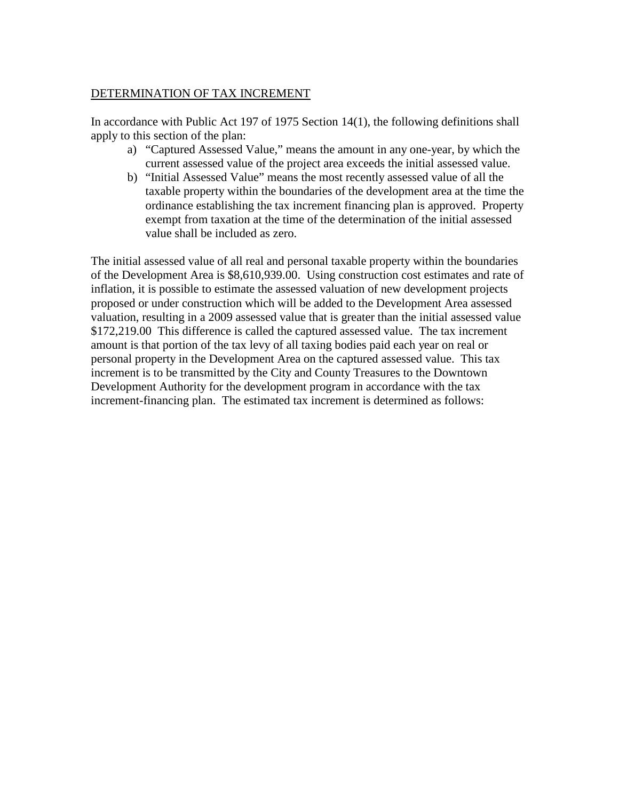### DETERMINATION OF TAX INCREMENT

In accordance with Public Act 197 of 1975 Section 14(1), the following definitions shall apply to this section of the plan:

- a) "Captured Assessed Value," means the amount in any one-year, by which the current assessed value of the project area exceeds the initial assessed value.
- b) "Initial Assessed Value" means the most recently assessed value of all the taxable property within the boundaries of the development area at the time the ordinance establishing the tax increment financing plan is approved. Property exempt from taxation at the time of the determination of the initial assessed value shall be included as zero.

The initial assessed value of all real and personal taxable property within the boundaries of the Development Area is \$8,610,939.00. Using construction cost estimates and rate of inflation, it is possible to estimate the assessed valuation of new development projects proposed or under construction which will be added to the Development Area assessed valuation, resulting in a 2009 assessed value that is greater than the initial assessed value \$172,219.00 This difference is called the captured assessed value. The tax increment amount is that portion of the tax levy of all taxing bodies paid each year on real or personal property in the Development Area on the captured assessed value. This tax increment is to be transmitted by the City and County Treasures to the Downtown Development Authority for the development program in accordance with the tax increment-financing plan. The estimated tax increment is determined as follows: